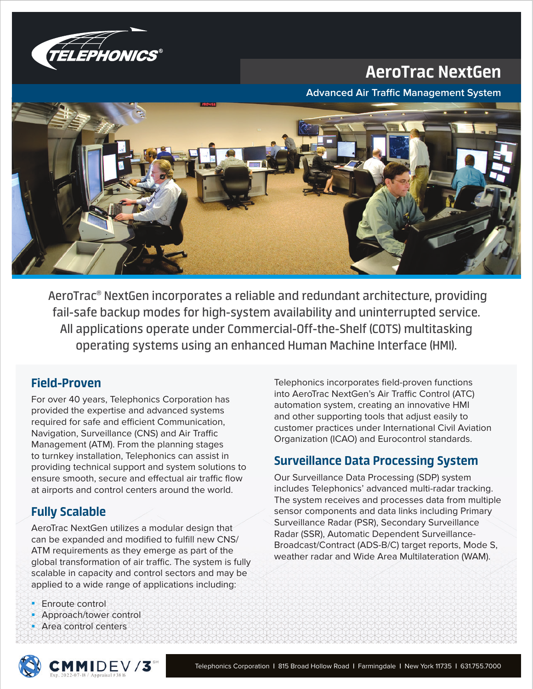

# AeroTrac NextGen

**Advanced Air Traffic Management System** 



 AeroTrac® NextGen incorporates a reliable and redundant architecture, providing fail-safe backup modes for high-system availability and uninterrupted service. All applications operate under Commercial-Off-the-Shelf (COTS) multitasking operating systems using an enhanced Human Machine Interface (HMI).

## Field-Proven

For over 40 years, Telephonics Corporation has provided the expertise and advanced systems required for safe and efficient Communication, Navigation, Surveillance (CNS) and Air Traffic Management (ATM). From the planning stages to turnkey installation, Telephonics can assist in providing technical support and system solutions to ensure smooth, secure and effectual air traffic flow at airports and control centers around the world.

## Fully Scalable

AeroTrac NextGen utilizes a modular design that can be expanded and modified to fulfill new CNS/ ATM requirements as they emerge as part of the global transformation of air traffic. The system is fully scalable in capacity and control sectors and may be applied to a wide range of applications including:

- **Enroute control**
- Approach/tower control
- Area control centers

Telephonics incorporates field-proven functions into AeroTrac NextGen's Air Traffic Control (ATC) automation system, creating an innovative HMI and other supporting tools that adjust easily to customer practices under International Civil Aviation Organization (ICAO) and Eurocontrol standards.

## Surveillance Data Processing System

Our Surveillance Data Processing (SDP) system includes Telephonics' advanced multi-radar tracking. The system receives and processes data from multiple sensor components and data links including Primary Surveillance Radar (PSR), Secondary Surveillance Radar (SSR), Automatic Dependent Surveillance-Broadcast/Contract (ADS-B/C) target reports, Mode S, weather radar and Wide Area Multilateration (WAM).